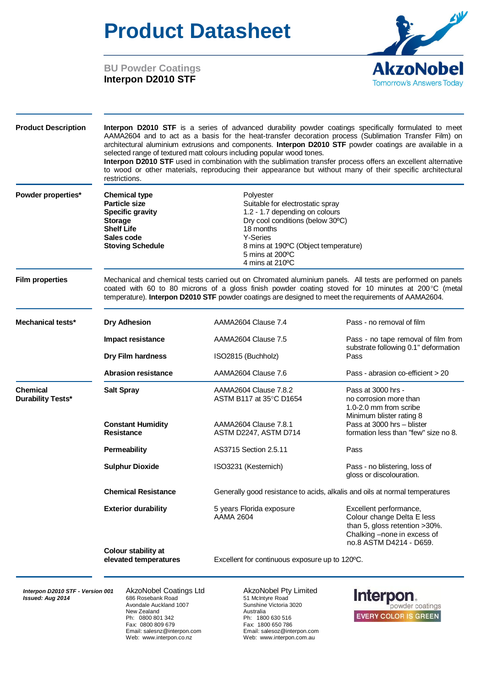## **Product Datasheet**



**BU Powder Coatings Interpon D2010 STF**

| <b>Product Description</b>                  | Interpon D2010 STF is a series of advanced durability powder coatings specifically formulated to meet<br>AAMA2604 and to act as a basis for the heat-transfer decoration process (Sublimation Transfer Film) on<br>architectural aluminium extrusions and components. Interpon D2010 STF powder coatings are available in a<br>selected range of textured matt colours including popular wood tones.<br>Interpon D2010 STF used in combination with the sublimation transfer process offers an excellent alternative<br>to wood or other materials, reproducing their appearance but without many of their specific architectural<br>restrictions. |                                                                                                                                                |                                                                                                                                                 |  |  |  |  |  |  |
|---------------------------------------------|----------------------------------------------------------------------------------------------------------------------------------------------------------------------------------------------------------------------------------------------------------------------------------------------------------------------------------------------------------------------------------------------------------------------------------------------------------------------------------------------------------------------------------------------------------------------------------------------------------------------------------------------------|------------------------------------------------------------------------------------------------------------------------------------------------|-------------------------------------------------------------------------------------------------------------------------------------------------|--|--|--|--|--|--|
| Powder properties*                          | <b>Chemical type</b><br><b>Particle size</b><br><b>Specific gravity</b><br><b>Storage</b><br><b>Shelf Life</b><br>Sales code<br><b>Stoving Schedule</b>                                                                                                                                                                                                                                                                                                                                                                                                                                                                                            | Suitable for electrostatic spray<br>1.2 - 1.7 depending on colours<br>Dry cool conditions (below 30°C)<br>8 mins at 190°C (Object temperature) |                                                                                                                                                 |  |  |  |  |  |  |
| <b>Film properties</b>                      | Mechanical and chemical tests carried out on Chromated aluminium panels. All tests are performed on panels<br>coated with 60 to 80 microns of a gloss finish powder coating stoved for 10 minutes at 200°C (metal<br>temperature). Interpon D2010 STF powder coatings are designed to meet the requirements of AAMA2604.                                                                                                                                                                                                                                                                                                                           |                                                                                                                                                |                                                                                                                                                 |  |  |  |  |  |  |
| Mechanical tests*                           | <b>Dry Adhesion</b>                                                                                                                                                                                                                                                                                                                                                                                                                                                                                                                                                                                                                                | AAMA2604 Clause 7.4                                                                                                                            | Pass - no removal of film                                                                                                                       |  |  |  |  |  |  |
|                                             | Impact resistance                                                                                                                                                                                                                                                                                                                                                                                                                                                                                                                                                                                                                                  | AAMA2604 Clause 7.5                                                                                                                            | Pass - no tape removal of film from                                                                                                             |  |  |  |  |  |  |
|                                             | Dry Film hardness                                                                                                                                                                                                                                                                                                                                                                                                                                                                                                                                                                                                                                  | ISO2815 (Buchholz)                                                                                                                             | substrate following 0.1" deformation<br>Pass                                                                                                    |  |  |  |  |  |  |
|                                             | <b>Abrasion resistance</b>                                                                                                                                                                                                                                                                                                                                                                                                                                                                                                                                                                                                                         | AAMA2604 Clause 7.6                                                                                                                            | Pass - abrasion co-efficient > 20                                                                                                               |  |  |  |  |  |  |
| <b>Chemical</b><br><b>Durability Tests*</b> | <b>Salt Spray</b>                                                                                                                                                                                                                                                                                                                                                                                                                                                                                                                                                                                                                                  | AAMA2604 Clause 7.8.2<br>ASTM B117 at 35°C D1654                                                                                               | Pass at 3000 hrs -<br>no corrosion more than<br>1.0-2.0 mm from scribe<br>Minimum blister rating 8                                              |  |  |  |  |  |  |
|                                             | <b>Constant Humidity</b><br><b>Resistance</b>                                                                                                                                                                                                                                                                                                                                                                                                                                                                                                                                                                                                      | AAMA2604 Clause 7.8.1<br>ASTM D2247, ASTM D714                                                                                                 | Pass at 3000 hrs - blister<br>formation less than "few" size no 8.                                                                              |  |  |  |  |  |  |
|                                             | <b>Permeability</b>                                                                                                                                                                                                                                                                                                                                                                                                                                                                                                                                                                                                                                | AS3715 Section 2.5.11                                                                                                                          | Pass                                                                                                                                            |  |  |  |  |  |  |
|                                             | <b>Sulphur Dioxide</b>                                                                                                                                                                                                                                                                                                                                                                                                                                                                                                                                                                                                                             | ISO3231 (Kesternich)                                                                                                                           | Pass - no blistering, loss of<br>gloss or discolouration.                                                                                       |  |  |  |  |  |  |
|                                             | <b>Chemical Resistance</b>                                                                                                                                                                                                                                                                                                                                                                                                                                                                                                                                                                                                                         |                                                                                                                                                | Generally good resistance to acids, alkalis and oils at normal temperatures                                                                     |  |  |  |  |  |  |
|                                             | <b>Exterior durability</b>                                                                                                                                                                                                                                                                                                                                                                                                                                                                                                                                                                                                                         | 5 years Florida exposure<br><b>AAMA 2604</b>                                                                                                   | Excellent performance,<br>Colour change Delta E less<br>than 5, gloss retention >30%.<br>Chalking -none in excess of<br>no.8 ASTM D4214 - D659. |  |  |  |  |  |  |
|                                             | Colour stability at<br>elevated temperatures                                                                                                                                                                                                                                                                                                                                                                                                                                                                                                                                                                                                       |                                                                                                                                                | Excellent for continuous exposure up to 120°C.                                                                                                  |  |  |  |  |  |  |

**Interpon D2010 STF - Version 001** AkzoNobel Coatings Ltd **AkzoNobel Pty Limited**<br> **AkzoNobel Pty Limited** 686 Rosebank Road 51 McIntyre Road

**ISBUE 2016** 686 Rosebank Road **1007**<br> *Islaming Victoria* 3020<br> *Islaming Victoria* 3020 Avondale Auckland 1007 Sunshine<br>New Zealand 1007 Sunshine<br>Australia New Zealand<br>Ph: 0800 801 342 Ph: 0800 801 342 Ph: 1800 630 516 Fax: 0800 809 679 Fax: 1800 650 786 Email: salesnz@interpon.com Email: salesoz@interpon.com

Web: www.interpon.com.au